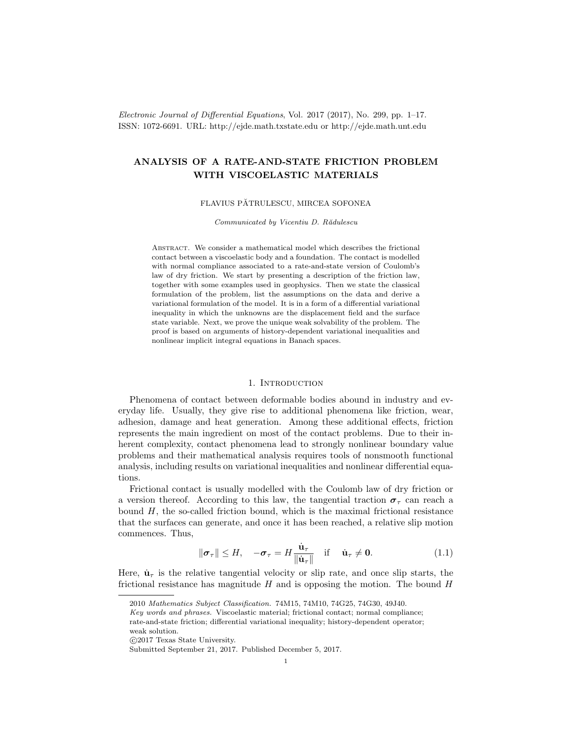Electronic Journal of Differential Equations, Vol. 2017 (2017), No. 299, pp. 1–17. ISSN: 1072-6691. URL: http://ejde.math.txstate.edu or http://ejde.math.unt.edu

# ANALYSIS OF A RATE-AND-STATE FRICTION PROBLEM WITH VISCOELASTIC MATERIALS

# FLAVIUS PĂTRULESCU, MIRCEA SOFONEA

Communicated by Vicentiu D. Rădulescu

ABSTRACT. We consider a mathematical model which describes the frictional contact between a viscoelastic body and a foundation. The contact is modelled with normal compliance associated to a rate-and-state version of Coulomb's law of dry friction. We start by presenting a description of the friction law, together with some examples used in geophysics. Then we state the classical formulation of the problem, list the assumptions on the data and derive a variational formulation of the model. It is in a form of a differential variational inequality in which the unknowns are the displacement field and the surface state variable. Next, we prove the unique weak solvability of the problem. The proof is based on arguments of history-dependent variational inequalities and nonlinear implicit integral equations in Banach spaces.

# 1. INTRODUCTION

<span id="page-0-1"></span>Phenomena of contact between deformable bodies abound in industry and everyday life. Usually, they give rise to additional phenomena like friction, wear, adhesion, damage and heat generation. Among these additional effects, friction represents the main ingredient on most of the contact problems. Due to their inherent complexity, contact phenomena lead to strongly nonlinear boundary value problems and their mathematical analysis requires tools of nonsmooth functional analysis, including results on variational inequalities and nonlinear differential equations.

Frictional contact is usually modelled with the Coulomb law of dry friction or a version thereof. According to this law, the tangential traction  $\sigma_{\tau}$  can reach a bound  $H$ , the so-called friction bound, which is the maximal frictional resistance that the surfaces can generate, and once it has been reached, a relative slip motion commences. Thus,

<span id="page-0-0"></span>
$$
\|\boldsymbol{\sigma}_{\tau}\| \leq H, \quad -\boldsymbol{\sigma}_{\tau} = H \frac{\dot{\mathbf{u}}_{\tau}}{\|\dot{\mathbf{u}}_{\tau}\|} \quad \text{if} \quad \dot{\mathbf{u}}_{\tau} \neq \mathbf{0}.
$$
 (1.1)

Here,  $\dot{u}_{\tau}$  is the relative tangential velocity or slip rate, and once slip starts, the frictional resistance has magnitude  $H$  and is opposing the motion. The bound  $H$ 

<sup>2010</sup> Mathematics Subject Classification. 74M15, 74M10, 74G25, 74G30, 49J40.

Key words and phrases. Viscoelastic material; frictional contact; normal compliance; rate-and-state friction; differential variational inequality; history-dependent operator; weak solution.

c 2017 Texas State University.

Submitted September 21, 2017. Published December 5, 2017.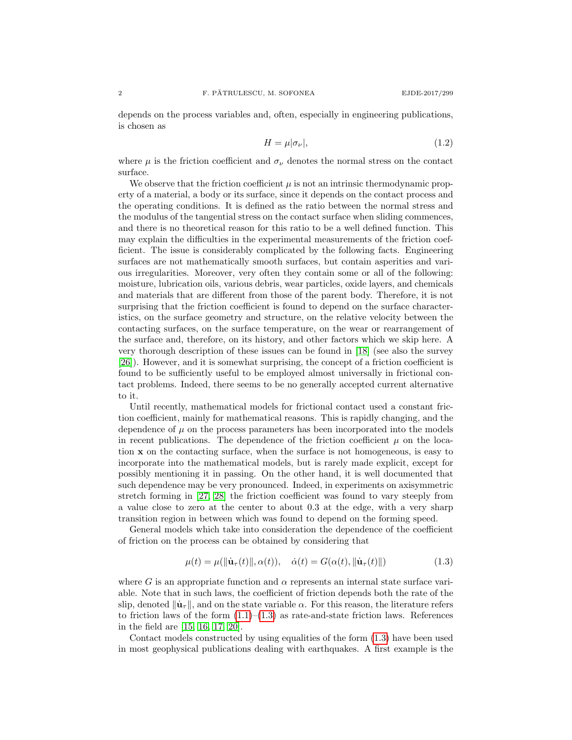depends on the process variables and, often, especially in engineering publications, is chosen as

<span id="page-1-1"></span>
$$
H = \mu |\sigma_{\nu}|,\tag{1.2}
$$

where  $\mu$  is the friction coefficient and  $\sigma_{\nu}$  denotes the normal stress on the contact surface.

We observe that the friction coefficient  $\mu$  is not an intrinsic thermodynamic property of a material, a body or its surface, since it depends on the contact process and the operating conditions. It is defined as the ratio between the normal stress and the modulus of the tangential stress on the contact surface when sliding commences, and there is no theoretical reason for this ratio to be a well defined function. This may explain the difficulties in the experimental measurements of the friction coefficient. The issue is considerably complicated by the following facts. Engineering surfaces are not mathematically smooth surfaces, but contain asperities and various irregularities. Moreover, very often they contain some or all of the following: moisture, lubrication oils, various debris, wear particles, oxide layers, and chemicals and materials that are different from those of the parent body. Therefore, it is not surprising that the friction coefficient is found to depend on the surface characteristics, on the surface geometry and structure, on the relative velocity between the contacting surfaces, on the surface temperature, on the wear or rearrangement of the surface and, therefore, on its history, and other factors which we skip here. A very thorough description of these issues can be found in [\[18\]](#page-15-0) (see also the survey [\[26\]](#page-15-1)). However, and it is somewhat surprising, the concept of a friction coefficient is found to be sufficiently useful to be employed almost universally in frictional contact problems. Indeed, there seems to be no generally accepted current alternative to it.

Until recently, mathematical models for frictional contact used a constant friction coefficient, mainly for mathematical reasons. This is rapidly changing, and the dependence of  $\mu$  on the process parameters has been incorporated into the models in recent publications. The dependence of the friction coefficient  $\mu$  on the location x on the contacting surface, when the surface is not homogeneous, is easy to incorporate into the mathematical models, but is rarely made explicit, except for possibly mentioning it in passing. On the other hand, it is well documented that such dependence may be very pronounced. Indeed, in experiments on axisymmetric stretch forming in [\[27,](#page-15-2) [28\]](#page-15-3) the friction coefficient was found to vary steeply from a value close to zero at the center to about 0.3 at the edge, with a very sharp transition region in between which was found to depend on the forming speed.

General models which take into consideration the dependence of the coefficient of friction on the process can be obtained by considering that

<span id="page-1-0"></span>
$$
\mu(t) = \mu(||\dot{\mathbf{u}}_{\tau}(t)||, \alpha(t)), \quad \dot{\alpha}(t) = G(\alpha(t), ||\dot{\mathbf{u}}_{\tau}(t)||)
$$
(1.3)

where G is an appropriate function and  $\alpha$  represents an internal state surface variable. Note that in such laws, the coefficient of friction depends both the rate of the slip, denoted  $\|\mathbf{u}_\tau\|$ , and on the state variable  $\alpha$ . For this reason, the literature refers to friction laws of the form  $(1.1)$ – $(1.3)$  as rate-and-state friction laws. References in the field are [\[15,](#page-15-4) [16,](#page-15-5) [17,](#page-15-6) [20\]](#page-15-7).

Contact models constructed by using equalities of the form [\(1.3\)](#page-1-0) have been used in most geophysical publications dealing with earthquakes. A first example is the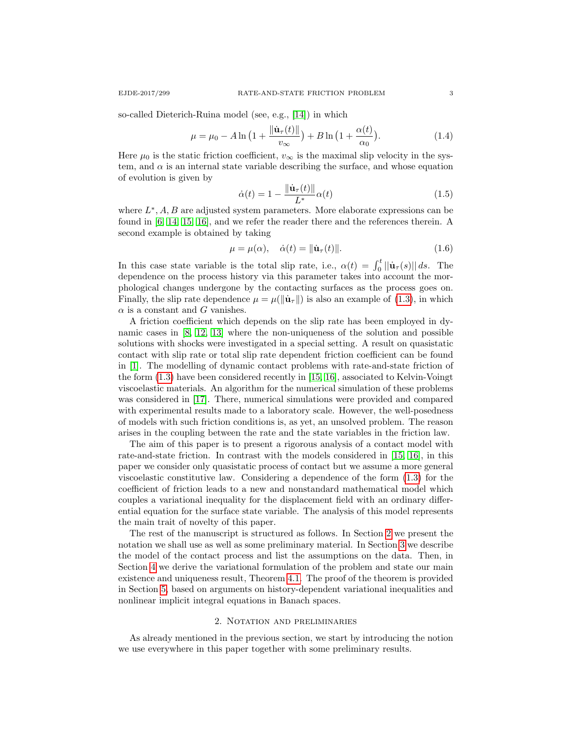so-called Dieterich-Ruina model (see, e.g., [\[14\]](#page-15-8)) in which

$$
\mu = \mu_0 - A \ln \left( 1 + \frac{\|\dot{\mathbf{u}}_{\tau}(t)\|}{v_{\infty}} \right) + B \ln \left( 1 + \frac{\alpha(t)}{\alpha_0} \right). \tag{1.4}
$$

Here  $\mu_0$  is the static friction coefficient,  $v_{\infty}$  is the maximal slip velocity in the system, and  $\alpha$  is an internal state variable describing the surface, and whose equation of evolution is given by

<span id="page-2-2"></span>
$$
\dot{\alpha}(t) = 1 - \frac{\|\dot{\mathbf{u}}_{\tau}(t)\|}{L^*} \alpha(t) \tag{1.5}
$$

where  $L^*, A, B$  are adjusted system parameters. More elaborate expressions can be found in [\[6,](#page-15-9) [14,](#page-15-8) [15,](#page-15-4) [16\]](#page-15-5), and we refer the reader there and the references therein. A second example is obtained by taking

<span id="page-2-1"></span>
$$
\mu = \mu(\alpha), \quad \dot{\alpha}(t) = \|\dot{\mathbf{u}}_{\tau}(t)\|.
$$
\n(1.6)

In this case state variable is the total slip rate, i.e.,  $\alpha(t) = \int_0^t ||\dot{\mathbf{u}}_{\tau}(s)|| ds$ . The dependence on the process history via this parameter takes into account the morphological changes undergone by the contacting surfaces as the process goes on. Finally, the slip rate dependence  $\mu = \mu(||\dot{\mathbf{u}}_{\tau}||)$  is also an example of [\(1.3\)](#page-1-0), in which  $\alpha$  is a constant and G vanishes.

A friction coefficient which depends on the slip rate has been employed in dynamic cases in [\[8,](#page-15-10) [12,](#page-15-11) [13\]](#page-15-12) where the non-uniqueness of the solution and possible solutions with shocks were investigated in a special setting. A result on quasistatic contact with slip rate or total slip rate dependent friction coefficient can be found in [\[1\]](#page-14-0). The modelling of dynamic contact problems with rate-and-state friction of the form [\(1.3\)](#page-1-0) have been considered recently in [\[15,](#page-15-4) [16\]](#page-15-5), associated to Kelvin-Voingt viscoelastic materials. An algorithm for the numerical simulation of these problems was considered in [\[17\]](#page-15-6). There, numerical simulations were provided and compared with experimental results made to a laboratory scale. However, the well-posedness of models with such friction conditions is, as yet, an unsolved problem. The reason arises in the coupling between the rate and the state variables in the friction law.

The aim of this paper is to present a rigorous analysis of a contact model with rate-and-state friction. In contrast with the models considered in [\[15,](#page-15-4) [16\]](#page-15-5), in this paper we consider only quasistatic process of contact but we assume a more general viscoelastic constitutive law. Considering a dependence of the form [\(1.3\)](#page-1-0) for the coefficient of friction leads to a new and nonstandard mathematical model which couples a variational inequality for the displacement field with an ordinary differential equation for the surface state variable. The analysis of this model represents the main trait of novelty of this paper.

The rest of the manuscript is structured as follows. In Section [2](#page-2-0) we present the notation we shall use as well as some preliminary material. In Section [3](#page-6-0) we describe the model of the contact process and list the assumptions on the data. Then, in Section [4](#page-9-0) we derive the variational formulation of the problem and state our main existence and uniqueness result, Theorem [4.1.](#page-10-0) The proof of the theorem is provided in Section [5,](#page-11-0) based on arguments on history-dependent variational inequalities and nonlinear implicit integral equations in Banach spaces.

# 2. Notation and preliminaries

<span id="page-2-0"></span>As already mentioned in the previous section, we start by introducing the notion we use everywhere in this paper together with some preliminary results.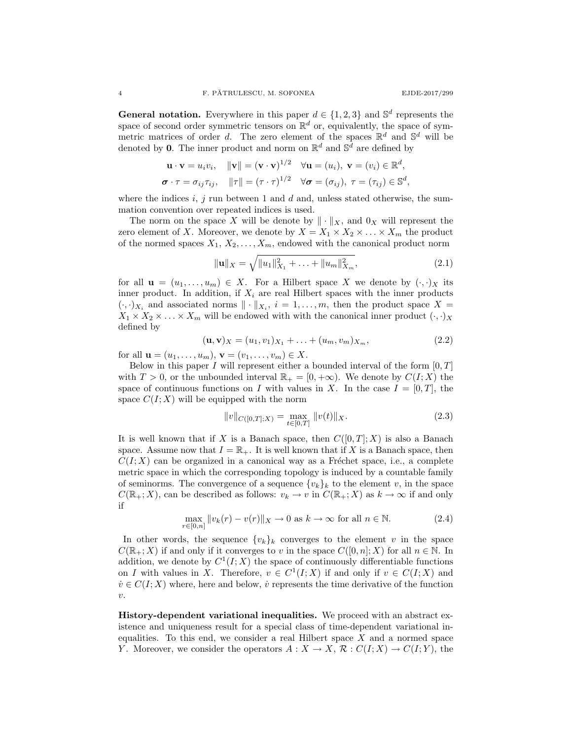**General notation.** Everywhere in this paper  $d \in \{1,2,3\}$  and  $\mathbb{S}^d$  represents the space of second order symmetric tensors on  $\mathbb{R}^d$  or, equivalently, the space of symmetric matrices of order d. The zero element of the spaces  $\mathbb{R}^d$  and  $\mathbb{S}^d$  will be denoted by **0**. The inner product and norm on  $\mathbb{R}^d$  and  $\mathbb{S}^{\bar{d}}$  are defined by

$$
\mathbf{u} \cdot \mathbf{v} = u_i v_i, \quad \|\mathbf{v}\| = (\mathbf{v} \cdot \mathbf{v})^{1/2} \quad \forall \mathbf{u} = (u_i), \ \mathbf{v} = (v_i) \in \mathbb{R}^d,
$$
  

$$
\boldsymbol{\sigma} \cdot \boldsymbol{\tau} = \sigma_{ij} \tau_{ij}, \quad \|\boldsymbol{\tau}\| = (\boldsymbol{\tau} \cdot \boldsymbol{\tau})^{1/2} \quad \forall \boldsymbol{\sigma} = (\sigma_{ij}), \ \boldsymbol{\tau} = (\tau_{ij}) \in \mathbb{S}^d,
$$

where the indices  $i, j$  run between 1 and d and, unless stated otherwise, the summation convention over repeated indices is used.

The norm on the space X will be denote by  $\|\cdot\|_X$ , and  $0_X$  will represent the zero element of X. Moreover, we denote by  $X = X_1 \times X_2 \times \ldots \times X_m$  the product of the normed spaces  $X_1, X_2, \ldots, X_m$ , endowed with the canonical product norm

$$
\|\mathbf{u}\|_{X} = \sqrt{\|u_1\|_{X_1}^2 + \ldots + \|u_m\|_{X_m}^2},\tag{2.1}
$$

for all  $\mathbf{u} = (u_1, \ldots, u_m) \in X$ . For a Hilbert space X we denote by  $(\cdot, \cdot)_X$  its inner product. In addition, if  $X_i$  are real Hilbert spaces with the inner products  $(\cdot, \cdot)_{X_i}$  and associated norms  $\|\cdot\|_{X_i}$ ,  $i = 1, \ldots, m$ , then the product space  $X =$  $X_1 \times X_2 \times \ldots \times X_m$  will be endowed with with the canonical inner product  $(\cdot, \cdot)_X$ defined by

$$
(\mathbf{u}, \mathbf{v})_X = (u_1, v_1)_{X_1} + \ldots + (u_m, v_m)_{X_m},
$$
\n(2.2)

for all  ${\bf u} = (u_1, \ldots, u_m), {\bf v} = (v_1, \ldots, v_m) \in X.$ 

Below in this paper I will represent either a bounded interval of the form  $[0, T]$ with  $T > 0$ , or the unbounded interval  $\mathbb{R}_+ = [0, +\infty)$ . We denote by  $C(I; X)$  the space of continuous functions on I with values in X. In the case  $I = [0, T]$ , the space  $C(I; X)$  will be equipped with the norm

$$
||v||_{C([0,T];X)} = \max_{t \in [0,T]} ||v(t)||_X.
$$
\n(2.3)

It is well known that if X is a Banach space, then  $C([0,T];X)$  is also a Banach space. Assume now that  $I = \mathbb{R}_+$ . It is well known that if X is a Banach space, then  $C(I; X)$  can be organized in a canonical way as a Fréchet space, i.e., a complete metric space in which the corresponding topology is induced by a countable family of seminorms. The convergence of a sequence  $\{v_k\}_k$  to the element v, in the space  $C(\mathbb{R}_+;X)$ , can be described as follows:  $v_k \to v$  in  $C(\mathbb{R}_+;X)$  as  $k \to \infty$  if and only if

$$
\max_{r \in [0,n]} \|v_k(r) - v(r)\|_X \to 0 \text{ as } k \to \infty \text{ for all } n \in \mathbb{N}.
$$
 (2.4)

In other words, the sequence  $\{v_k\}_k$  converges to the element v in the space  $C(\mathbb{R}_+;X)$  if and only if it converges to v in the space  $C([0,n];X)$  for all  $n \in \mathbb{N}$ . In addition, we denote by  $C^1(I;X)$  the space of continuously differentiable functions on I with values in X. Therefore,  $v \in C^1(I;X)$  if and only if  $v \in C(I;X)$  and  $\dot{v} \in C(I; X)$  where, here and below,  $\dot{v}$  represents the time derivative of the function  $\upsilon$ .

History-dependent variational inequalities. We proceed with an abstract existence and uniqueness result for a special class of time-dependent variational inequalities. To this end, we consider a real Hilbert space  $X$  and a normed space Y. Moreover, we consider the operators  $A: X \to X$ ,  $\mathcal{R}: C(I;X) \to C(I;Y)$ , the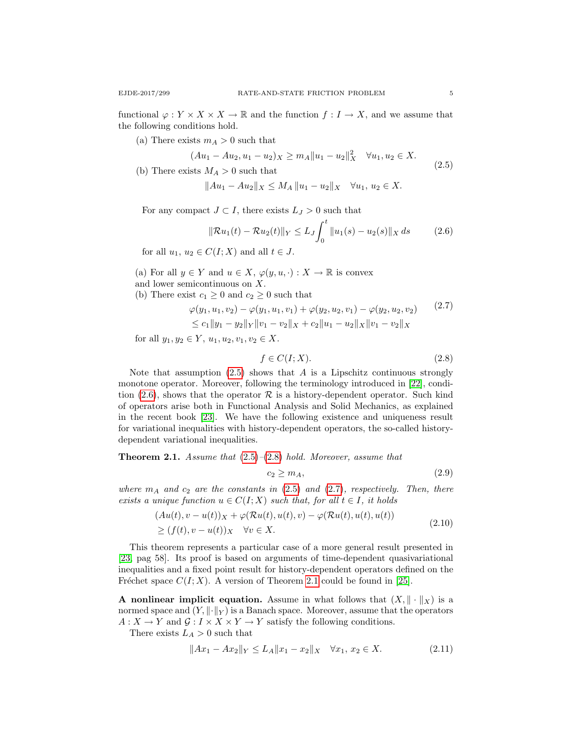functional  $\varphi: Y \times X \times X \to \mathbb{R}$  and the function  $f: I \to X$ , and we assume that the following conditions hold.

(a) There exists  $m_A > 0$  such that

$$
(Au_1 - Au_2, u_1 - u_2)_X \ge m_A \|u_1 - u_2\|_X^2 \quad \forall u_1, u_2 \in X.
$$
\n
$$
(2.5)
$$

<span id="page-4-0"></span>(b) There exists  $M_A > 0$  such that

$$
||Au_1 - Au_2||_X \le M_A ||u_1 - u_2||_X \quad \forall u_1, u_2 \in X.
$$

<span id="page-4-1"></span>For any compact  $J \subset I$ , there exists  $L_J > 0$  such that

$$
\|\mathcal{R}u_1(t) - \mathcal{R}u_2(t)\|_Y \le L_J \int_0^t \|u_1(s) - u_2(s)\|_X ds \qquad (2.6)
$$

for all  $u_1, u_2 \in C(I; X)$  and all  $t \in J$ .

- (a) For all  $y \in Y$  and  $u \in X$ ,  $\varphi(y, u, \cdot) : X \to \mathbb{R}$  is convex and lower semicontinuous on X.
- <span id="page-4-3"></span>(b) There exist  $c_1 \geq 0$  and  $c_2 \geq 0$  such that

$$
\varphi(y_1, u_1, v_2) - \varphi(y_1, u_1, v_1) + \varphi(y_2, u_2, v_1) - \varphi(y_2, u_2, v_2)
$$
\n
$$
\leq c_1 \|y_1 - y_2\|_Y \|v_1 - v_2\|_X + c_2 \|u_1 - u_2\|_X \|v_1 - v_2\|_X
$$
\n
$$
(2.7)
$$

for all  $y_1, y_2 \in Y$ ,  $u_1, u_2, v_1, v_2 \in X$ .

<span id="page-4-2"></span>
$$
f \in C(I;X). \tag{2.8}
$$

Note that assumption  $(2.5)$  shows that A is a Lipschitz continuous strongly monotone operator. Moreover, following the terminology introduced in [\[22\]](#page-15-13), condi-tion [\(2.6\)](#page-4-1), shows that the operator  $R$  is a history-dependent operator. Such kind of operators arise both in Functional Analysis and Solid Mechanics, as explained in the recent book [\[23\]](#page-15-14). We have the following existence and uniqueness result for variational inequalities with history-dependent operators, the so-called historydependent variational inequalities.

<span id="page-4-4"></span>**Theorem 2.1.** Assume that  $(2.5)$ – $(2.8)$  hold. Moreover, assume that

<span id="page-4-6"></span>
$$
c_2 \ge m_A,\tag{2.9}
$$

where  $m_A$  and  $c_2$  are the constants in [\(2.5\)](#page-4-0) and [\(2.7\)](#page-4-3), respectively. Then, there exists a unique function  $u \in C(I;X)$  such that, for all  $t \in I$ , it holds

$$
(Au(t), v - u(t))_X + \varphi(\mathcal{R}u(t), u(t), v) - \varphi(\mathcal{R}u(t), u(t), u(t))
$$
  
\n
$$
\geq (f(t), v - u(t))_X \quad \forall v \in X.
$$
\n(2.10)

This theorem represents a particular case of a more general result presented in [\[23,](#page-15-14) pag 58]. Its proof is based on arguments of time-dependent quasivariational inequalities and a fixed point result for history-dependent operators defined on the Fréchet space  $C(I; X)$ . A version of Theorem [2.1](#page-4-4) could be found in [\[25\]](#page-15-15).

A nonlinear implicit equation. Assume in what follows that  $(X, \|\cdot\|_X)$  is a normed space and  $(Y, \|\cdot\|_Y)$  is a Banach space. Moreover, assume that the operators  $A: X \to Y$  and  $\mathcal{G}: I \times X \times Y \to Y$  satisfy the following conditions.

There exists  $L_A > 0$  such that

<span id="page-4-5"></span>
$$
||Ax_1 - Ax_2||_Y \le L_A ||x_1 - x_2||_X \quad \forall x_1, x_2 \in X. \tag{2.11}
$$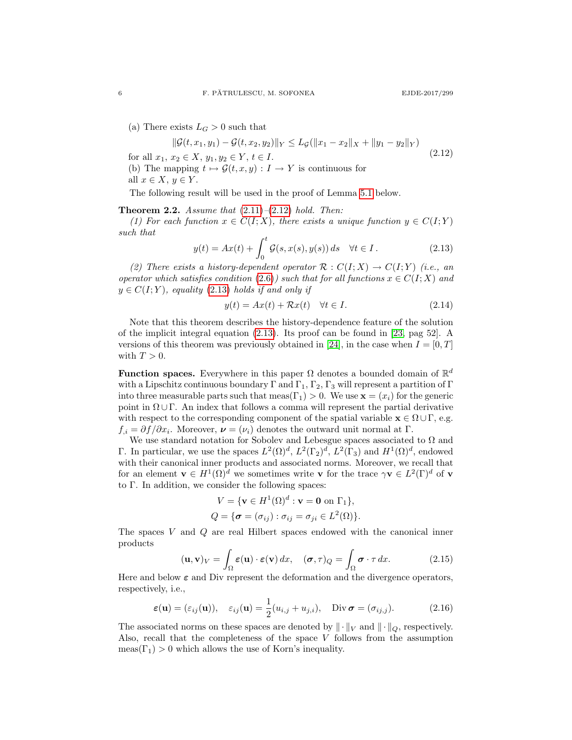(a) There exists  $L_G > 0$  such that

<span id="page-5-0"></span>
$$
\|\mathcal{G}(t, x_1, y_1) - \mathcal{G}(t, x_2, y_2)\|_Y \le L_{\mathcal{G}}(\|x_1 - x_2\|_X + \|y_1 - y_2\|_Y)
$$
  
for all  $x_1, x_2 \in X$ ,  $y_1, y_2 \in Y$ ,  $t \in I$ . (2.12)

- (b) The mapping  $t \mapsto \mathcal{G}(t, x, y) : I \to Y$  is continuous for
- all  $x \in X$ ,  $y \in Y$ .

The following result will be used in the proof of Lemma [5.1](#page-11-1) below.

<span id="page-5-3"></span>**Theorem 2.2.** Assume that  $(2.11)$ – $(2.12)$  hold. Then:

(1) For each function  $x \in C(I;X)$ , there exists a unique function  $y \in C(I;Y)$ such that

<span id="page-5-1"></span>
$$
y(t) = Ax(t) + \int_0^t \mathcal{G}(s, x(s), y(s)) ds \quad \forall t \in I.
$$
 (2.13)

(2) There exists a history-dependent operator  $\mathcal{R}: C(I;X) \to C(I;Y)$  (i.e., an operator which satisfies condition [\(2.6\)](#page-4-1)) such that for all functions  $x \in C(I;X)$  and  $y \in C(I;Y)$ , equality [\(2.13\)](#page-5-1) holds if and only if

$$
y(t) = Ax(t) + \mathcal{R}x(t) \quad \forall t \in I.
$$
\n
$$
(2.14)
$$

Note that this theorem describes the history-dependence feature of the solution of the implicit integral equation [\(2.13\)](#page-5-1). Its proof can be found in [\[23,](#page-15-14) pag 52]. A versions of this theorem was previously obtained in [\[24\]](#page-15-16), in the case when  $I = [0, T]$ with  $T > 0$ .

**Function spaces.** Everywhere in this paper  $\Omega$  denotes a bounded domain of  $\mathbb{R}^d$ with a Lipschitz continuous boundary  $\Gamma$  and  $\Gamma_1$ ,  $\Gamma_2$ ,  $\Gamma_3$  will represent a partition of  $\Gamma$ into three measurable parts such that  $meas(\Gamma_1) > 0$ . We use  $\mathbf{x} = (x_i)$  for the generic point in  $\Omega \cup \Gamma$ . An index that follows a comma will represent the partial derivative with respect to the corresponding component of the spatial variable  $\mathbf{x} \in \Omega \cup \Gamma$ , e.g.  $f_{i} = \partial f / \partial x_{i}$ . Moreover,  $\boldsymbol{\nu} = (\nu_{i})$  denotes the outward unit normal at  $\Gamma$ .

We use standard notation for Sobolev and Lebesgue spaces associated to  $\Omega$  and Γ. In particular, we use the spaces  $L^2(\Omega)^d$ ,  $L^2(\Gamma_2)^d$ ,  $L^2(\Gamma_3)$  and  $H^1(\Omega)^d$ , endowed with their canonical inner products and associated norms. Moreover, we recall that for an element  $\mathbf{v} \in H^1(\Omega)^d$  we sometimes write v for the trace  $\gamma \mathbf{v} \in L^2(\Gamma)^d$  of v to Γ. In addition, we consider the following spaces:

$$
V = \{ \mathbf{v} \in H^1(\Omega)^d : \mathbf{v} = \mathbf{0} \text{ on } \Gamma_1 \},
$$
  

$$
Q = \{ \boldsymbol{\sigma} = (\sigma_{ij}) : \sigma_{ij} = \sigma_{ji} \in L^2(\Omega) \}.
$$

The spaces V and Q are real Hilbert spaces endowed with the canonical inner products

$$
(\mathbf{u}, \mathbf{v})_V = \int_{\Omega} \varepsilon(\mathbf{u}) \cdot \varepsilon(\mathbf{v}) dx, \quad (\boldsymbol{\sigma}, \tau)_Q = \int_{\Omega} \boldsymbol{\sigma} \cdot \tau dx. \tag{2.15}
$$

Here and below  $\varepsilon$  and Div represent the deformation and the divergence operators, respectively, i.e.,

<span id="page-5-2"></span>
$$
\varepsilon(\mathbf{u}) = (\varepsilon_{ij}(\mathbf{u})), \quad \varepsilon_{ij}(\mathbf{u}) = \frac{1}{2}(u_{i,j} + u_{j,i}), \quad \text{Div}\,\boldsymbol{\sigma} = (\sigma_{ij,j}). \tag{2.16}
$$

The associated norms on these spaces are denoted by  $\|\cdot\|_V$  and  $\|\cdot\|_Q$ , respectively. Also, recall that the completeness of the space  $V$  follows from the assumption  $meas(\Gamma_1) > 0$  which allows the use of Korn's inequality.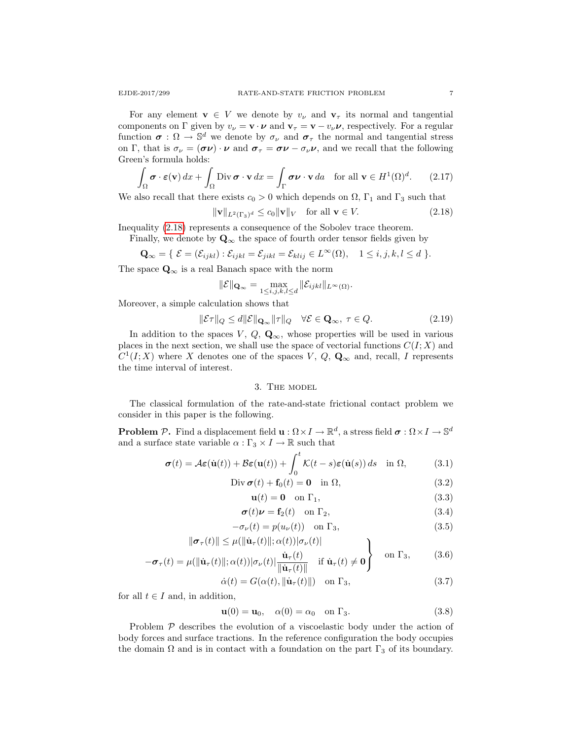For any element  $\mathbf{v} \in V$  we denote by  $v_{\nu}$  and  $\mathbf{v}_{\tau}$  its normal and tangential components on Γ given by  $v_{\nu} = \mathbf{v} \cdot \boldsymbol{\nu}$  and  $\mathbf{v}_{\tau} = \mathbf{v} - v_{\nu} \boldsymbol{\nu}$ , respectively. For a regular function  $\sigma : \Omega \to \mathbb{S}^d$  we denote by  $\sigma_{\nu}$  and  $\sigma_{\tau}$  the normal and tangential stress on Γ, that is  $\sigma_{\nu} = (\sigma \nu) \cdot \nu$  and  $\sigma_{\tau} = \sigma \nu - \sigma_{\nu} \nu$ , and we recall that the following Green's formula holds:

<span id="page-6-10"></span>
$$
\int_{\Omega} \boldsymbol{\sigma} \cdot \boldsymbol{\varepsilon}(\mathbf{v}) dx + \int_{\Omega} \text{Div } \boldsymbol{\sigma} \cdot \mathbf{v} dx = \int_{\Gamma} \boldsymbol{\sigma} \boldsymbol{\nu} \cdot \mathbf{v} da \quad \text{for all } \mathbf{v} \in H^{1}(\Omega)^{d}.
$$
 (2.17)

We also recall that there exists  $c_0 > 0$  which depends on  $\Omega$ ,  $\Gamma_1$  and  $\Gamma_3$  such that

<span id="page-6-1"></span>
$$
\|\mathbf{v}\|_{L^{2}(\Gamma_{3})^{d}} \leq c_{0} \|\mathbf{v}\|_{V} \quad \text{for all } \mathbf{v} \in V. \tag{2.18}
$$

Inequality [\(2.18\)](#page-6-1) represents a consequence of the Sobolev trace theorem.

Finally, we denote by  $\mathbf{Q}_{\infty}$  the space of fourth order tensor fields given by

$$
\mathbf{Q}_{\infty} = \{ \ \mathcal{E} = (\mathcal{E}_{ijkl}) : \mathcal{E}_{ijkl} = \mathcal{E}_{jikl} = \mathcal{E}_{klij} \in L^{\infty}(\Omega), \quad 1 \leq i, j, k, l \leq d \ \}.
$$

The space  $\mathbf{Q}_{\infty}$  is a real Banach space with the norm

$$
\|\mathcal{E}\|_{\mathbf{Q}_{\infty}} = \max_{1 \leq i,j,k,l \leq d} \|\mathcal{E}_{ijkl}\|_{L^{\infty}(\Omega)}.
$$

Moreover, a simple calculation shows that

<span id="page-6-11"></span>
$$
\|\mathcal{E}\tau\|_Q \le d\|\mathcal{E}\|_{\mathbf{Q}_{\infty}}\|\tau\|_Q \quad \forall \mathcal{E} \in \mathbf{Q}_{\infty}, \ \tau \in Q. \tag{2.19}
$$

In addition to the spaces V,  $Q$ ,  $\mathbf{Q}_{\infty}$ , whose properties will be used in various places in the next section, we shall use the space of vectorial functions  $C(I; X)$  and  $C^1(I;X)$  where X denotes one of the spaces V,  $Q$ ,  $\mathbf{Q}_{\infty}$  and, recall, I represents the time interval of interest.

#### 3. The model

<span id="page-6-0"></span>The classical formulation of the rate-and-state frictional contact problem we consider in this paper is the following.

**Problem P.** Find a displacement field  $\mathbf{u}: \Omega \times I \to \mathbb{R}^d$ , a stress field  $\boldsymbol{\sigma}: \Omega \times I \to \mathbb{S}^d$ and a surface state variable  $\alpha: \Gamma_3 \times I \to \mathbb{R}$  such that

$$
\boldsymbol{\sigma}(t) = \mathcal{A}\boldsymbol{\varepsilon}(\dot{\mathbf{u}}(t)) + \mathcal{B}\boldsymbol{\varepsilon}(\mathbf{u}(t)) + \int_0^t \mathcal{K}(t-s)\boldsymbol{\varepsilon}(\dot{\mathbf{u}}(s)) ds \quad \text{in } \Omega,
$$
 (3.1)

$$
\text{Div}\,\boldsymbol{\sigma}(t) + \mathbf{f}_0(t) = \mathbf{0} \quad \text{in } \Omega,\tag{3.2}
$$

<span id="page-6-9"></span><span id="page-6-8"></span><span id="page-6-7"></span><span id="page-6-6"></span><span id="page-6-5"></span><span id="page-6-4"></span><span id="page-6-2"></span>
$$
\mathbf{u}(t) = \mathbf{0} \quad \text{on } \Gamma_1,\tag{3.3}
$$

$$
\boldsymbol{\sigma}(t)\boldsymbol{\nu} = \mathbf{f}_2(t) \quad \text{on } \Gamma_2,\tag{3.4}
$$

$$
-\sigma_{\nu}(t) = p(u_{\nu}(t)) \quad \text{on } \Gamma_3,\tag{3.5}
$$

$$
\|\boldsymbol{\sigma}_{\tau}(t)\| \leq \mu(\|\dot{\mathbf{u}}_{\tau}(t)\|; \alpha(t)) |\sigma_{\nu}(t)|
$$
  

$$
-\boldsymbol{\sigma}_{\tau}(t) = \mu(\|\dot{\mathbf{u}}_{\tau}(t)\|; \alpha(t)) |\sigma_{\nu}(t)| \frac{\dot{\mathbf{u}}_{\tau}(t)}{\|\dot{\mathbf{u}}_{\tau}(t)\|} \quad \text{if } \dot{\mathbf{u}}_{\tau}(t) \neq \mathbf{0}
$$
 on  $\Gamma_3$ , (3.6)

$$
\dot{\alpha}(t) = G(\alpha(t), \|\dot{\mathbf{u}}_{\tau}(t)\|) \quad \text{on } \Gamma_3,\tag{3.7}
$$

for all  $t \in I$  and, in addition,

<span id="page-6-3"></span>
$$
\mathbf{u}(0) = \mathbf{u}_0, \quad \alpha(0) = \alpha_0 \quad \text{on } \Gamma_3. \tag{3.8}
$$

Problem  $P$  describes the evolution of a viscoelastic body under the action of body forces and surface tractions. In the reference configuration the body occupies the domain  $\Omega$  and is in contact with a foundation on the part  $\Gamma_3$  of its boundary.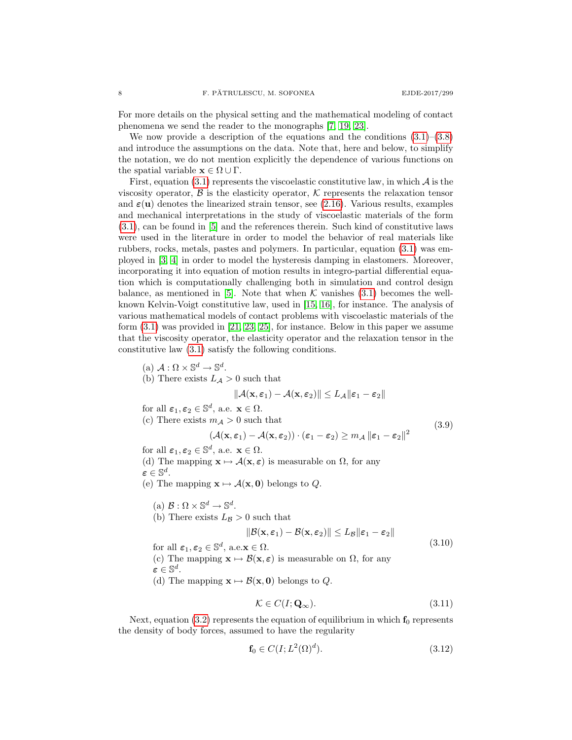For more details on the physical setting and the mathematical modeling of contact phenomena we send the reader to the monographs [\[7,](#page-15-17) [19,](#page-15-18) [23\]](#page-15-14).

We now provide a description of the equations and the conditions  $(3.1)$ – $(3.8)$ and introduce the assumptions on the data. Note that, here and below, to simplify the notation, we do not mention explicitly the dependence of various functions on the spatial variable  $\mathbf{x} \in \Omega \cup \Gamma$ .

First, equation  $(3.1)$  represents the viscoelastic constitutive law, in which  $\mathcal A$  is the viscosity operator,  $\beta$  is the elasticity operator,  $\beta$  represents the relaxation tensor and  $\varepsilon(\mathbf{u})$  denotes the linearized strain tensor, see [\(2.16\)](#page-5-2). Various results, examples and mechanical interpretations in the study of viscoelastic materials of the form [\(3.1\)](#page-6-2), can be found in [\[5\]](#page-15-19) and the references therein. Such kind of constitutive laws were used in the literature in order to model the behavior of real materials like rubbers, rocks, metals, pastes and polymers. In particular, equation [\(3.1\)](#page-6-2) was employed in [\[3,](#page-15-20) [4\]](#page-15-21) in order to model the hysteresis damping in elastomers. Moreover, incorporating it into equation of motion results in integro-partial differential equation which is computationally challenging both in simulation and control design balance, as mentioned in [\[5\]](#page-15-19). Note that when  $K$  vanishes [\(3.1\)](#page-6-2) becomes the wellknown Kelvin-Voigt constitutive law, used in [\[15,](#page-15-4) [16\]](#page-15-5), for instance. The analysis of various mathematical models of contact problems with viscoelastic materials of the form  $(3.1)$  was provided in [\[21,](#page-15-22) [23,](#page-15-14) [25\]](#page-15-15), for instance. Below in this paper we assume that the viscosity operator, the elasticity operator and the relaxation tensor in the constitutive law [\(3.1\)](#page-6-2) satisfy the following conditions.

- (a)  $\mathcal{A}: \Omega \times \mathbb{S}^d \to \mathbb{S}^d$ .
- (b) There exists  $L_A > 0$  such that

$$
\|\mathcal{A}(\mathbf{x}, \boldsymbol{\varepsilon}_1) - \mathcal{A}(\mathbf{x}, \boldsymbol{\varepsilon}_2)\| \le L_{\mathcal{A}} \|\boldsymbol{\varepsilon}_1 - \boldsymbol{\varepsilon}_2\|
$$

for all  $\varepsilon_1, \varepsilon_2 \in \mathbb{S}^d$ , a.e.  $\mathbf{x} \in \Omega$ .

<span id="page-7-1"></span>(c) There exists  $m_A > 0$  such that

$$
m_{\mathcal{A}} > 0 \text{ such that } (3.9)
$$
  

$$
(\mathcal{A}(\mathbf{x}, \varepsilon_1) - \mathcal{A}(\mathbf{x}, \varepsilon_2)) \cdot (\varepsilon_1 - \varepsilon_2) \ge m_{\mathcal{A}} ||\varepsilon_1 - \varepsilon_2||^2
$$

for all  $\varepsilon_1, \varepsilon_2 \in \mathbb{S}^d$ , a.e.  $\mathbf{x} \in \Omega$ . (d) The mapping  $\mathbf{x} \mapsto \mathcal{A}(\mathbf{x}, \varepsilon)$  is measurable on  $\Omega$ , for any  $\varepsilon \in \mathbb{S}^d.$ 

- (e) The mapping  $\mathbf{x} \mapsto \mathcal{A}(\mathbf{x}, \mathbf{0})$  belongs to Q.
	- (a)  $\mathcal{B}: \Omega \times \mathbb{S}^d \to \mathbb{S}^d$ .
	- (b) There exists  $L_B > 0$  such that

$$
||\mathcal{B}(\mathbf{x}, \varepsilon_1) - \mathcal{B}(\mathbf{x}, \varepsilon_2)|| \le L_{\mathcal{B}} ||\varepsilon_1 - \varepsilon_2|| \tag{3.10}
$$

<span id="page-7-2"></span>for all  $\varepsilon_1, \varepsilon_2 \in \mathbb{S}^d$ , a.e.**x**  $\in \Omega$ . (c) The mapping  $\mathbf{x} \mapsto \mathcal{B}(\mathbf{x}, \varepsilon)$  is measurable on  $\Omega$ , for any  $\varepsilon \in \mathbb{S}^d.$ 

(d) The mapping  $\mathbf{x} \mapsto \mathcal{B}(\mathbf{x}, \mathbf{0})$  belongs to Q.

<span id="page-7-3"></span>
$$
\mathcal{K} \in C(I; \mathbf{Q}_{\infty}).\tag{3.11}
$$

Next, equation [\(3.2\)](#page-6-4) represents the equation of equilibrium in which  $f_0$  represents the density of body forces, assumed to have the regularity

<span id="page-7-0"></span>
$$
\mathbf{f}_0 \in C(I; L^2(\Omega)^d). \tag{3.12}
$$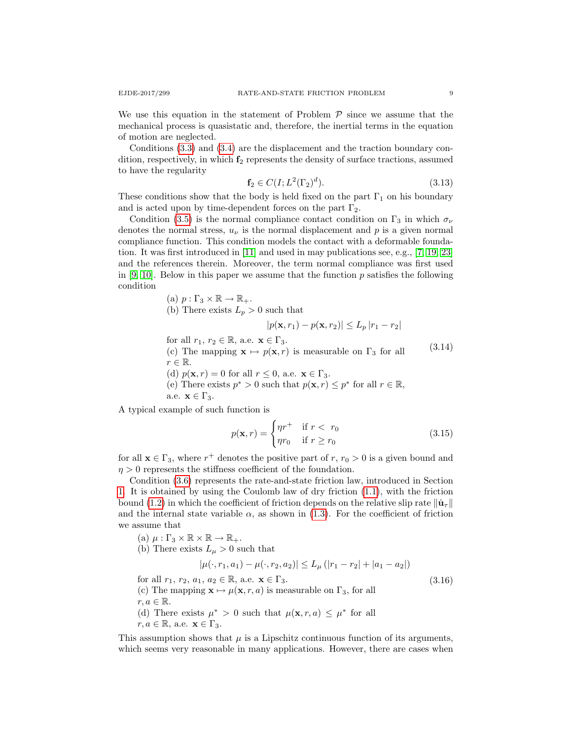We use this equation in the statement of Problem  $P$  since we assume that the mechanical process is quasistatic and, therefore, the inertial terms in the equation of motion are neglected.

Conditions [\(3.3\)](#page-6-5) and [\(3.4\)](#page-6-6) are the displacement and the traction boundary condition, respectively, in which  $f_2$  represents the density of surface tractions, assumed to have the regularity

<span id="page-8-0"></span>
$$
\mathbf{f}_2 \in C(I; L^2(\Gamma_2)^d). \tag{3.13}
$$

These conditions show that the body is held fixed on the part  $\Gamma_1$  on his boundary and is acted upon by time-dependent forces on the part  $\Gamma_2$ .

Condition [\(3.5\)](#page-6-7) is the normal compliance contact condition on  $\Gamma_3$  in which  $\sigma_{\nu}$ denotes the normal stress,  $u_{\nu}$  is the normal displacement and p is a given normal compliance function. This condition models the contact with a deformable foundation. It was first introduced in [\[11\]](#page-15-23) and used in may publications see, e.g., [\[7,](#page-15-17) [19,](#page-15-18) [23\]](#page-15-14) and the references therein. Moreover, the term normal compliance was first used in  $[9, 10]$  $[9, 10]$ . Below in this paper we assume that the function p satisfies the following condition

(a) 
$$
p: \Gamma_3 \times \mathbb{R} \to \mathbb{R}_+.
$$

(b) There exists  $L_p > 0$  such that

$$
|p(\mathbf{x}, r_1) - p(\mathbf{x}, r_2)| \le L_p |r_1 - r_2|
$$

<span id="page-8-1"></span>for all  $r_1, r_2 \in \mathbb{R}$ , a.e.  $\mathbf{x} \in \Gamma_3$ . (c) The mapping  $\mathbf{x} \mapsto p(\mathbf{x}, r)$  is measurable on  $\Gamma_3$  for all  $r \in \mathbb{R}$ . (d)  $p(\mathbf{x}, r) = 0$  for all  $r \leq 0$ , a.e.  $\mathbf{x} \in \Gamma_3$ . (e) There exists  $p^* > 0$  such that  $p(\mathbf{x}, r) \leq p^*$  for all  $r \in \mathbb{R}$ , a.e.  $\mathbf{x} \in \Gamma_3$ . (3.14)

A typical example of such function is

$$
p(\mathbf{x}, r) = \begin{cases} \eta r^+ & \text{if } r < r_0 \\ \eta r_0 & \text{if } r \ge r_0 \end{cases} \tag{3.15}
$$

for all  $\mathbf{x} \in \Gamma_3$ , where  $r^+$  denotes the positive part of  $r, r_0 > 0$  is a given bound and  $\eta > 0$  represents the stiffness coefficient of the foundation.

Condition [\(3.6\)](#page-6-8) represents the rate-and-state friction law, introduced in Section [1.](#page-0-1) It is obtained by using the Coulomb law of dry friction [\(1.1\)](#page-0-0), with the friction bound [\(1.2\)](#page-1-1) in which the coefficient of friction depends on the relative slip rate  $\|\mathbf{u}_\tau\|$ and the internal state variable  $\alpha$ , as shown in [\(1.3\)](#page-1-0). For the coefficient of friction we assume that

(a) 
$$
\mu : \Gamma_3 \times \mathbb{R} \times \mathbb{R} \to \mathbb{R}_+
$$
.

(b) There exists  $L_{\mu} > 0$  such that

$$
|\mu(\cdot, r_1, a_1) - \mu(\cdot, r_2, a_2)| \le L_\mu (|r_1 - r_2| + |a_1 - a_2|)
$$

<span id="page-8-2"></span>for all  $r_1$ ,  $r_2$ ,  $a_1$ ,  $a_2 \in \mathbb{R}$ , a.e.  $\mathbf{x} \in \Gamma_3$ . (c) The mapping  $\mathbf{x} \mapsto \mu(\mathbf{x}, r, a)$  is measurable on  $\Gamma_3$ , for all  $r, a \in \mathbb{R}$ . (d) There exists  $\mu^* > 0$  such that  $\mu(\mathbf{x}, r, a) \leq \mu^*$  for all  $r, a \in \mathbb{R}$ , a.e.  $\mathbf{x} \in \Gamma_3$ .

This assumption shows that  $\mu$  is a Lipschitz continuous function of its arguments, which seems very reasonable in many applications. However, there are cases when

(3.16)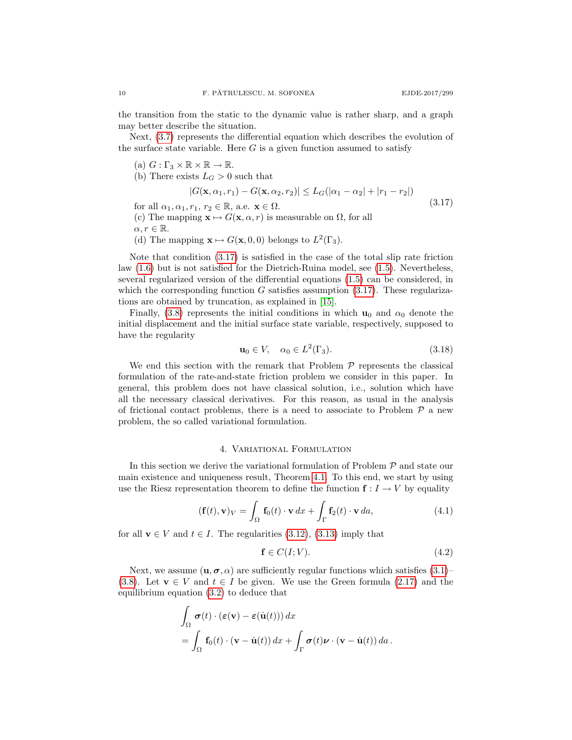the transition from the static to the dynamic value is rather sharp, and a graph may better describe the situation.

Next, [\(3.7\)](#page-6-9) represents the differential equation which describes the evolution of the surface state variable. Here  $G$  is a given function assumed to satisfy

- (a)  $G: \Gamma_3 \times \mathbb{R} \times \mathbb{R} \to \mathbb{R}$ .
- (b) There exists  $L_G > 0$  such that

$$
|G(\mathbf{x}, \alpha_1, r_1) - G(\mathbf{x}, \alpha_2, r_2)| \le L_G(|\alpha_1 - \alpha_2| + |r_1 - r_2|)
$$
  

$$
r_1 \quad r_2 \in \mathbb{R} \quad \text{as } \mathbf{x} \in \Omega
$$
 (3.17)

<span id="page-9-1"></span>for all  $\alpha_1, \alpha_1, r_1, r_2 \in \mathbb{R}$ , a.e.  $\mathbf{x} \in \Omega$ .

(c) The mapping  $\mathbf{x} \mapsto G(\mathbf{x}, \alpha, r)$  is measurable on  $\Omega$ , for all

 $\alpha, r \in \mathbb{R}$ .

(d) The mapping  $\mathbf{x} \mapsto G(\mathbf{x}, 0, 0)$  belongs to  $L^2(\Gamma_3)$ .

Note that condition [\(3.17\)](#page-9-1) is satisfied in the case of the total slip rate friction law [\(1.6\)](#page-2-1) but is not satisfied for the Dietrich-Ruina model, see [\(1.5\)](#page-2-2). Nevertheless, several regularized version of the differential equations [\(1.5\)](#page-2-2) can be considered, in which the corresponding function G satisfies assumption  $(3.17)$ . These regularizations are obtained by truncation, as explained in [\[15\]](#page-15-4).

Finally, [\(3.8\)](#page-6-3) represents the initial conditions in which  $\mathbf{u}_0$  and  $\alpha_0$  denote the initial displacement and the initial surface state variable, respectively, supposed to have the regularity

<span id="page-9-3"></span>
$$
\mathbf{u}_0 \in V, \quad \alpha_0 \in L^2(\Gamma_3). \tag{3.18}
$$

We end this section with the remark that Problem  $P$  represents the classical formulation of the rate-and-state friction problem we consider in this paper. In general, this problem does not have classical solution, i.e., solution which have all the necessary classical derivatives. For this reason, as usual in the analysis of frictional contact problems, there is a need to associate to Problem  $P$  a new problem, the so called variational formulation.

# 4. Variational Formulation

<span id="page-9-0"></span>In this section we derive the variational formulation of Problem  $P$  and state our main existence and uniqueness result, Theorem [4.1.](#page-10-0) To this end, we start by using use the Riesz representation theorem to define the function  $f: I \to V$  by equality

<span id="page-9-2"></span>
$$
(\mathbf{f}(t), \mathbf{v})_V = \int_{\Omega} \mathbf{f}_0(t) \cdot \mathbf{v} \, dx + \int_{\Gamma} \mathbf{f}_2(t) \cdot \mathbf{v} \, da,\tag{4.1}
$$

for all  $\mathbf{v} \in V$  and  $t \in I$ . The regularities [\(3.12\)](#page-7-0), [\(3.13\)](#page-8-0) imply that

<span id="page-9-4"></span>
$$
\mathbf{f} \in C(I;V). \tag{4.2}
$$

Next, we assume  $(\mathbf{u}, \boldsymbol{\sigma}, \alpha)$  are sufficiently regular functions which satisfies [\(3.1\)](#page-6-2)– [\(3.8\)](#page-6-3). Let  $\mathbf{v} \in V$  and  $t \in I$  be given. We use the Green formula [\(2.17\)](#page-6-10) and the equilibrium equation [\(3.2\)](#page-6-4) to deduce that

$$
\int_{\Omega} \sigma(t) \cdot (\varepsilon(\mathbf{v}) - \varepsilon(\dot{\mathbf{u}}(t))) dx
$$
\n
$$
= \int_{\Omega} \mathbf{f}_0(t) \cdot (\mathbf{v} - \dot{\mathbf{u}}(t)) dx + \int_{\Gamma} \sigma(t) \nu \cdot (\mathbf{v} - \dot{\mathbf{u}}(t)) da.
$$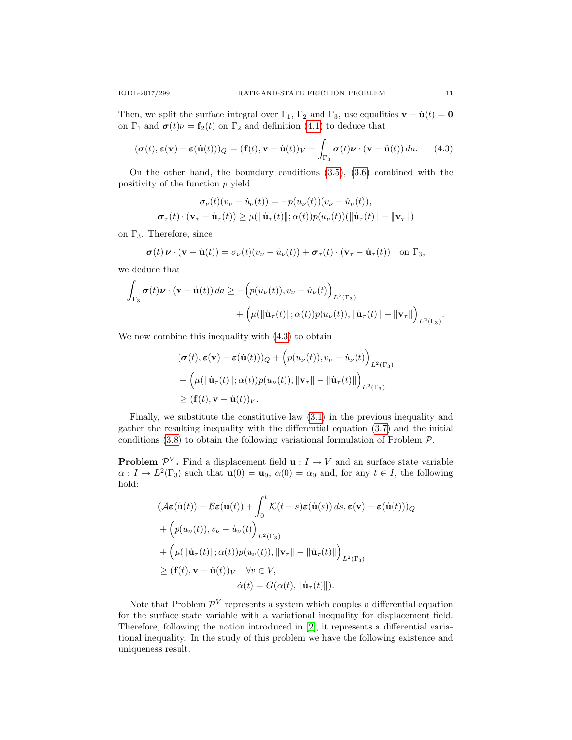on  $\Gamma_1$  and  $\boldsymbol{\sigma}(t)\nu = \mathbf{f}_2(t)$  on  $\Gamma_2$  and definition [\(4.1\)](#page-9-2) to deduce that

<span id="page-10-1"></span>
$$
(\boldsymbol{\sigma}(t), \boldsymbol{\varepsilon}(\mathbf{v}) - \boldsymbol{\varepsilon}(\dot{\mathbf{u}}(t)))_Q = (\mathbf{f}(t), \mathbf{v} - \dot{\mathbf{u}}(t))_V + \int_{\Gamma_3} \boldsymbol{\sigma}(t) \boldsymbol{\nu} \cdot (\mathbf{v} - \dot{\mathbf{u}}(t)) \, da. \tag{4.3}
$$

On the other hand, the boundary conditions [\(3.5\)](#page-6-7), [\(3.6\)](#page-6-8) combined with the positivity of the function  $p$  yield

$$
\sigma_{\nu}(t)(v_{\nu} - \dot{u}_{\nu}(t)) = -p(u_{\nu}(t))(v_{\nu} - \dot{u}_{\nu}(t)),
$$
  

$$
\sigma_{\tau}(t) \cdot (\mathbf{v}_{\tau} - \dot{\mathbf{u}}_{\tau}(t)) \ge \mu(\|\dot{\mathbf{u}}_{\tau}(t)\|; \alpha(t))p(u_{\nu}(t))(\|\dot{\mathbf{u}}_{\tau}(t)\| - \|\mathbf{v}_{\tau}\|)
$$

on  $\Gamma_3$ . Therefore, since

$$
\boldsymbol{\sigma}(t)\boldsymbol{\nu}\cdot(\mathbf{v}-\dot{\mathbf{u}}(t))=\sigma_{\nu}(t)(v_{\nu}-\dot{u}_{\nu}(t))+\boldsymbol{\sigma}_{\tau}(t)\cdot(\mathbf{v}_{\tau}-\dot{\mathbf{u}}_{\tau}(t))\quad\text{on }\Gamma_3,
$$

we deduce that

$$
\int_{\Gamma_3} \sigma(t) \nu \cdot (\mathbf{v} - \dot{\mathbf{u}}(t)) da \ge -\left( p(u_{\nu}(t)), v_{\nu} - \dot{u}_{\nu}(t) \right)_{L^2(\Gamma_3)} \n+ \left( \mu(\|\dot{\mathbf{u}}_{\tau}(t)\|; \alpha(t)) p(u_{\nu}(t)), \|\dot{\mathbf{u}}_{\tau}(t)\| - \|\mathbf{v}_{\tau}\| \right)_{L^2(\Gamma_3)}.
$$

We now combine this inequality with [\(4.3\)](#page-10-1) to obtain

$$
(\boldsymbol{\sigma}(t), \boldsymbol{\varepsilon}(\mathbf{v}) - \boldsymbol{\varepsilon}(\dot{\mathbf{u}}(t)))_Q + \left(p(u_{\nu}(t)), v_{\nu} - \dot{u}_{\nu}(t)\right)_{L^2(\Gamma_3)} + \left(\mu(\|\dot{\mathbf{u}}_{\tau}(t)\|; \alpha(t))p(u_{\nu}(t)), \|\mathbf{v}_{\tau}\| - \|\dot{\mathbf{u}}_{\tau}(t)\|\right)_{L^2(\Gamma_3)} \ge (\mathbf{f}(t), \mathbf{v} - \dot{\mathbf{u}}(t))_V.
$$

Finally, we substitute the constitutive law [\(3.1\)](#page-6-2) in the previous inequality and gather the resulting inequality with the differential equation [\(3.7\)](#page-6-9) and the initial conditions  $(3.8)$  to obtain the following variational formulation of Problem  $P$ .

**Problem**  $\mathcal{P}^V$ . Find a displacement field  $\mathbf{u}: I \to V$  and an surface state variable  $\alpha: I \to L^2(\Gamma_3)$  such that  $\mathbf{u}(0) = \mathbf{u}_0$ ,  $\alpha(0) = \alpha_0$  and, for any  $t \in I$ , the following hold:

$$
(\mathcal{A}\varepsilon(\dot{\mathbf{u}}(t)) + \mathcal{B}\varepsilon(\mathbf{u}(t)) + \int_0^t \mathcal{K}(t - s)\varepsilon(\dot{\mathbf{u}}(s)) ds, \varepsilon(\mathbf{v}) - \varepsilon(\dot{\mathbf{u}}(t)))_Q
$$
  
+ 
$$
\left( p(u_\nu(t)), v_\nu - \dot{u}_\nu(t) \right)_{L^2(\Gamma_3)}
$$
  
+ 
$$
\left( \mu(||\dot{\mathbf{u}}_\tau(t)||; \alpha(t)) p(u_\nu(t)), ||\mathbf{v}_\tau|| - ||\dot{\mathbf{u}}_\tau(t)|| \right)_{L^2(\Gamma_3)}
$$
  

$$
\geq (\mathbf{f}(t), \mathbf{v} - \dot{\mathbf{u}}(t))_V \quad \forall v \in V,
$$
  

$$
\dot{\alpha}(t) = G(\alpha(t), ||\dot{\mathbf{u}}_\tau(t)||).
$$

<span id="page-10-0"></span>Note that Problem  $\mathcal{P}^V$  represents a system which couples a differential equation for the surface state variable with a variational inequality for displacement field. Therefore, following the notion introduced in [\[2\]](#page-14-1), it represents a differential variational inequality. In the study of this problem we have the following existence and uniqueness result.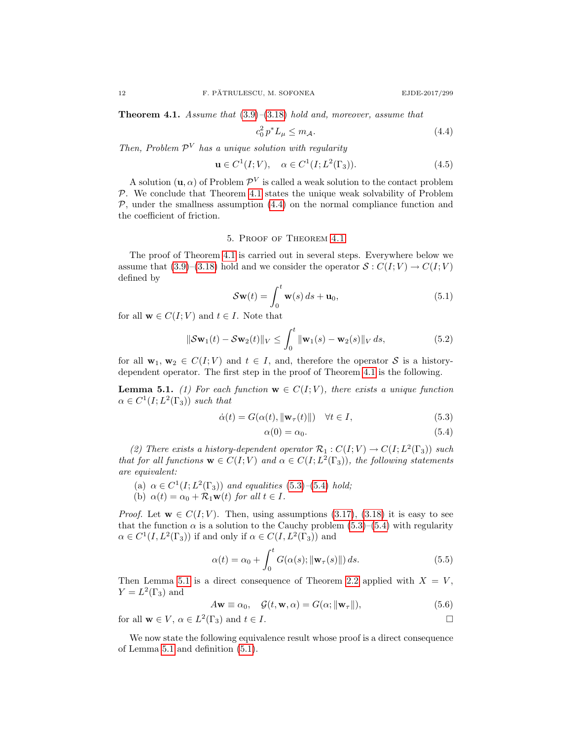**Theorem 4.1.** Assume that  $(3.9)$ – $(3.18)$  hold and, moreover, assume that

<span id="page-11-2"></span>
$$
c_0^2 p^* L_\mu \le m_{\mathcal{A}}.\tag{4.4}
$$

Then, Problem  $\mathcal{P}^V$  has a unique solution with regularity

<span id="page-11-6"></span>
$$
\mathbf{u} \in C^1(I;V), \quad \alpha \in C^1(I;L^2(\Gamma_3)).\tag{4.5}
$$

A solution  $(\mathbf{u}, \alpha)$  of Problem  $\mathcal{P}^V$  is called a weak solution to the contact problem  $P$ . We conclude that Theorem [4.1](#page-10-0) states the unique weak solvability of Problem  $P$ , under the smallness assumption  $(4.4)$  on the normal compliance function and the coefficient of friction.

# 5. Proof of Theorem [4.1](#page-10-0)

<span id="page-11-0"></span>The proof of Theorem [4.1](#page-10-0) is carried out in several steps. Everywhere below we assume that [\(3.9\)](#page-7-1)–[\(3.18\)](#page-9-3) hold and we consider the operator  $S: C(I; V) \to C(I; V)$ defined by

<span id="page-11-5"></span>
$$
\mathcal{S}\mathbf{w}(t) = \int_0^t \mathbf{w}(s) ds + \mathbf{u}_0,
$$
\n(5.1)

for all  $\mathbf{w} \in C(I; V)$  and  $t \in I$ . Note that

<span id="page-11-7"></span>
$$
\|\mathcal{S}\mathbf{w}_1(t) - \mathcal{S}\mathbf{w}_2(t)\|_V \le \int_0^t \|\mathbf{w}_1(s) - \mathbf{w}_2(s)\|_V ds,
$$
 (5.2)

for all  $\mathbf{w}_1, \mathbf{w}_2 \in C(I; V)$  and  $t \in I$ , and, therefore the operator S is a historydependent operator. The first step in the proof of Theorem [4.1](#page-10-0) is the following.

<span id="page-11-1"></span>**Lemma 5.1.** (1) For each function  $\mathbf{w} \in C(I;V)$ , there exists a unique function  $\alpha \in C^1(I; L^2(\Gamma_3))$  such that

$$
\dot{\alpha}(t) = G(\alpha(t), \|\mathbf{w}_{\tau}(t)\|) \quad \forall t \in I,
$$
\n(5.3)

<span id="page-11-4"></span><span id="page-11-3"></span>
$$
\alpha(0) = \alpha_0. \tag{5.4}
$$

(2) There exists a history-dependent operator  $\mathcal{R}_1: C(I;V) \to C(I;L^2(\Gamma_3))$  such that for all functions  $\mathbf{w} \in C(I;V)$  and  $\alpha \in C(I;L^2(\Gamma_3))$ , the following statements are equivalent:

- (a)  $\alpha \in C^1(I; L^2(\Gamma_3))$  and equalities [\(5.3\)](#page-11-3)–[\(5.4\)](#page-11-4) hold;
- (b)  $\alpha(t) = \alpha_0 + \mathcal{R}_1 \mathbf{w}(t)$  for all  $t \in I$ .

*Proof.* Let  $\mathbf{w} \in C(I; V)$ . Then, using assumptions [\(3.17\)](#page-9-1), [\(3.18\)](#page-9-3) it is easy to see that the function  $\alpha$  is a solution to the Cauchy problem [\(5.3\)](#page-11-3)–[\(5.4\)](#page-11-4) with regularity  $\alpha \in C^1(I, L^2(\Gamma_3))$  if and only if  $\alpha \in C(I, L^2(\Gamma_3))$  and

$$
\alpha(t) = \alpha_0 + \int_0^t G(\alpha(s); \|\mathbf{w}_\tau(s)\|) ds.
$$
 (5.5)

Then Lemma [5.1](#page-11-1) is a direct consequence of Theorem [2.2](#page-5-3) applied with  $X = V$ ,  $Y = L^2(\Gamma_3)$  and

$$
A\mathbf{w} \equiv \alpha_0, \quad \mathcal{G}(t, \mathbf{w}, \alpha) = G(\alpha; \|\mathbf{w}_\tau\|), \tag{5.6}
$$

for all  $\mathbf{w} \in V$ ,  $\alpha \in L^2(\Gamma_3)$  and  $t \in I$ .

<span id="page-11-8"></span>We now state the following equivalence result whose proof is a direct consequence of Lemma [5.1](#page-11-1) and definition [\(5.1\)](#page-11-5).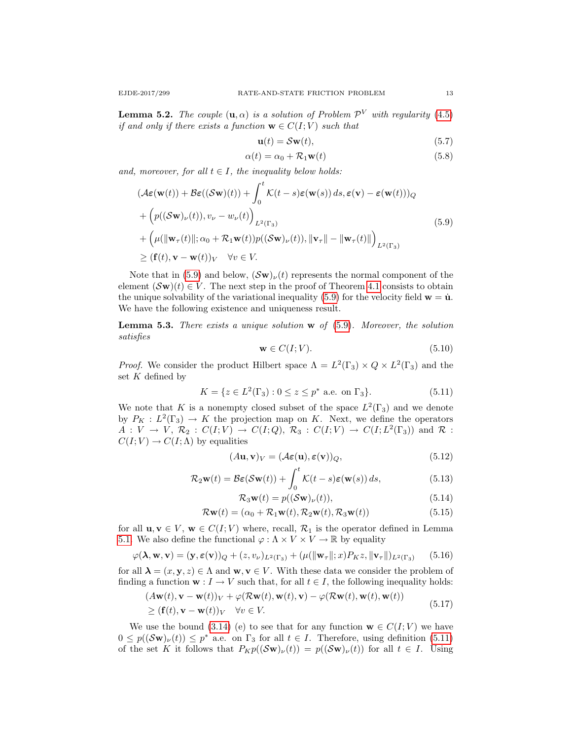**Lemma 5.2.** The couple  $(\mathbf{u}, \alpha)$  is a solution of Problem  $\mathcal{P}^V$  with regularity [\(4.5\)](#page-11-6) if and only if there exists a function  $\mathbf{w} \in C(I; V)$  such that

$$
\mathbf{u}(t) = \mathcal{S}\mathbf{w}(t),\tag{5.7}
$$

$$
\alpha(t) = \alpha_0 + \mathcal{R}_1 \mathbf{w}(t) \tag{5.8}
$$

and, moreover, for all  $t \in I$ , the inequality below holds:

<span id="page-12-0"></span>
$$
(\mathcal{A}\varepsilon(\mathbf{w}(t)) + \mathcal{B}\varepsilon((\mathcal{S}\mathbf{w})(t)) + \int_0^t \mathcal{K}(t - s)\varepsilon(\mathbf{w}(s)) ds, \varepsilon(\mathbf{v}) - \varepsilon(\mathbf{w}(t)))_Q
$$
  
+ 
$$
\left(p((\mathcal{S}\mathbf{w})_{\nu}(t)), v_{\nu} - w_{\nu}(t)\right)_{L^2(\Gamma_3)} + \left(\mu(\|\mathbf{w}_{\tau}(t)\|; \alpha_0 + \mathcal{R}_1 \mathbf{w}(t))p((\mathcal{S}\mathbf{w})_{\nu}(t)), \|\mathbf{v}_{\tau}\| - \|\mathbf{w}_{\tau}(t)\|\right)_{L^2(\Gamma_3)} \geq (\mathbf{f}(t), \mathbf{v} - \mathbf{w}(t))_V \quad \forall v \in V.
$$
 (5.9)

Note that in [\(5.9\)](#page-12-0) and below,  $(\mathcal{S}_{\mathbf{W}})_\nu(t)$  represents the normal component of the element  $(\mathcal{S}\mathbf{w})(t) \in V$ . The next step in the proof of Theorem [4.1](#page-10-0) consists to obtain the unique solvability of the variational inequality [\(5.9\)](#page-12-0) for the velocity field  $\mathbf{w} = \dot{\mathbf{u}}$ . We have the following existence and uniqueness result.

<span id="page-12-6"></span>**Lemma 5.3.** There exists a unique solution  $\bf{w}$  of  $(5.9)$ . Moreover, the solution satisfies

$$
\mathbf{w} \in C(I;V). \tag{5.10}
$$

*Proof.* We consider the product Hilbert space  $\Lambda = L^2(\Gamma_3) \times Q \times L^2(\Gamma_3)$  and the set  $K$  defined by

<span id="page-12-1"></span>
$$
K = \{ z \in L^{2}(\Gamma_{3}) : 0 \le z \le p^{*} \text{ a.e. on } \Gamma_{3} \}. \tag{5.11}
$$

We note that K is a nonempty closed subset of the space  $L^2(\Gamma_3)$  and we denote by  $P_K: L^2(\Gamma_3) \to K$  the projection map on K. Next, we define the operators  $A: V \to V, \mathcal{R}_2: C(I;V) \to C(I;Q), \mathcal{R}_3: C(I;V) \to C(I;L^2(\Gamma_3))$  and  $\mathcal{R}$ :  $C(I; V) \to C(I; \Lambda)$  by equalities

$$
(A\mathbf{u}, \mathbf{v})_V = (\mathcal{A}\boldsymbol{\varepsilon}(\mathbf{u}), \boldsymbol{\varepsilon}(\mathbf{v}))_Q,\tag{5.12}
$$

$$
\mathcal{R}_2 \mathbf{w}(t) = \mathcal{B}\boldsymbol{\varepsilon}(\mathcal{S}\mathbf{w}(t)) + \int_0^t \mathcal{K}(t-s)\boldsymbol{\varepsilon}(\mathbf{w}(s)) ds,
$$
\n(5.13)

<span id="page-12-5"></span><span id="page-12-2"></span>
$$
\mathcal{R}_3\mathbf{w}(t) = p((\mathcal{S}\mathbf{w})_{\nu}(t)),\tag{5.14}
$$

$$
\mathcal{R}\mathbf{w}(t) = (\alpha_0 + \mathcal{R}_1\mathbf{w}(t), \mathcal{R}_2\mathbf{w}(t), \mathcal{R}_3\mathbf{w}(t))
$$
\n(5.15)

for all  $\mathbf{u}, \mathbf{v} \in V$ ,  $\mathbf{w} \in C(I; V)$  where, recall,  $\mathcal{R}_1$  is the operator defined in Lemma [5.1.](#page-11-1) We also define the functional  $\varphi : \Lambda \times V \times V \to \mathbb{R}$  by equality

<span id="page-12-3"></span>
$$
\varphi(\mathbf{\lambda}, \mathbf{w}, \mathbf{v}) = (\mathbf{y}, \varepsilon(\mathbf{v}))_Q + (z, v_\nu)_{L^2(\Gamma_3)} + (\mu(\|\mathbf{w}_\tau\|; x) P_K z, \|\mathbf{v}_\tau\|)_{L^2(\Gamma_3)} \tag{5.16}
$$

for all  $\lambda = (x, y, z) \in \Lambda$  and  $w, v \in V$ . With these data we consider the problem of finding a function  $\mathbf{w}: I \to V$  such that, for all  $t \in I$ , the following inequality holds:

<span id="page-12-4"></span>
$$
(A\mathbf{w}(t), \mathbf{v} - \mathbf{w}(t))_V + \varphi(\mathcal{R}\mathbf{w}(t), \mathbf{w}(t), \mathbf{v}) - \varphi(\mathcal{R}\mathbf{w}(t), \mathbf{w}(t), \mathbf{w}(t))
$$
  
\n
$$
\geq (\mathbf{f}(t), \mathbf{v} - \mathbf{w}(t))_V \quad \forall v \in V.
$$
\n(5.17)

We use the bound [\(3.14\)](#page-8-1) (e) to see that for any function  $\mathbf{w} \in C(I; V)$  we have  $0 \leq p((\mathcal{S}_{\mathbf{W}})_{\nu}(t)) \leq p^*$  a.e. on  $\Gamma_3$  for all  $t \in I$ . Therefore, using definition [\(5.11\)](#page-12-1) of the set K it follows that  $P_Kp((\mathcal{S}\mathbf{w})_\nu(t)) = p((\mathcal{S}\mathbf{w})_\nu(t))$  for all  $t \in I$ . Using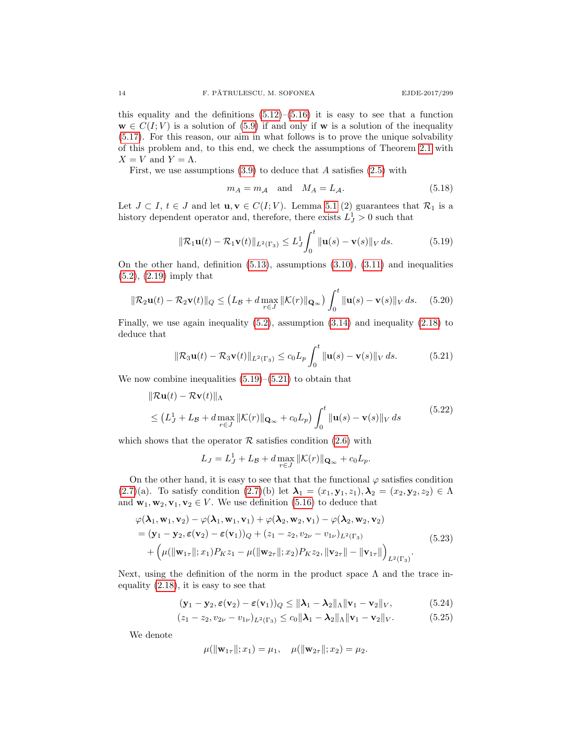this equality and the definitions  $(5.12)$ – $(5.16)$  it is easy to see that a function  $\mathbf{w} \in C(I; V)$  is a solution of [\(5.9\)](#page-12-0) if and only if  $\mathbf{w}$  is a solution of the inequality [\(5.17\)](#page-12-4). For this reason, our aim in what follows is to prove the unique solvability of this problem and, to this end, we check the assumptions of Theorem [2.1](#page-4-4) with  $X = V$  and  $Y = \Lambda$ .

First, we use assumptions  $(3.9)$  to deduce that A satisfies  $(2.5)$  with

<span id="page-13-4"></span>
$$
m_A = m_A \quad \text{and} \quad M_A = L_A. \tag{5.18}
$$

Let  $J \subset I$ ,  $t \in J$  and let  $\mathbf{u}, \mathbf{v} \in C(I; V)$ . Lemma [5.1](#page-11-1) (2) guarantees that  $\mathcal{R}_1$  is a history dependent operator and, therefore, there exists  $L_J^1 > 0$  such that

<span id="page-13-0"></span>
$$
\|\mathcal{R}_1\mathbf{u}(t) - \mathcal{R}_1\mathbf{v}(t)\|_{L^2(\Gamma_3)} \le L_J^1 \int_0^t \|\mathbf{u}(s) - \mathbf{v}(s)\|_V ds.
$$
 (5.19)

On the other hand, definition  $(5.13)$ , assumptions  $(3.10)$ ,  $(3.11)$  and inequalities [\(5.2\)](#page-11-7), [\(2.19\)](#page-6-11) imply that

$$
\|\mathcal{R}_2\mathbf{u}(t) - \mathcal{R}_2\mathbf{v}(t)\|_{Q} \le (L_{\mathcal{B}} + d \max_{r \in J} \|\mathcal{K}(r)\|_{\mathbf{Q}_{\infty}}) \int_0^t \|\mathbf{u}(s) - \mathbf{v}(s)\|_{V} ds. \tag{5.20}
$$

Finally, we use again inequality [\(5.2\)](#page-11-7), assumption [\(3.14\)](#page-8-1) and inequality [\(2.18\)](#page-6-1) to deduce that

<span id="page-13-1"></span>
$$
\|\mathcal{R}_3\mathbf{u}(t) - \mathcal{R}_3\mathbf{v}(t)\|_{L^2(\Gamma_3)} \le c_0 L_p \int_0^t \|\mathbf{u}(s) - \mathbf{v}(s)\|_V ds.
$$
 (5.21)

We now combine inequalities  $(5.19)$ – $(5.21)$  to obtain that

$$
\|\mathcal{R}\mathbf{u}(t) - \mathcal{R}\mathbf{v}(t)\|_{\Lambda}
$$
  
\n
$$
\leq (L_J^1 + L_B + d \max_{r \in J} \|\mathcal{K}(r)\|_{\mathbf{Q}_{\infty}} + c_0 L_p) \int_0^t \|\mathbf{u}(s) - \mathbf{v}(s)\|_V ds
$$
\n(5.22)

which shows that the operator  $\mathcal R$  satisfies condition [\(2.6\)](#page-4-1) with

$$
L_J = L_J^1 + L_B + d \max_{r \in J} \|\mathcal{K}(r)\|_{\mathbf{Q}_{\infty}} + c_0 L_p.
$$

On the other hand, it is easy to see that that the functional  $\varphi$  satisfies condition [\(2.7\)](#page-4-3)(a). To satisfy condition [\(2.7\)](#page-4-3)(b) let  $\lambda_1 = (x_1, y_1, z_1), \lambda_2 = (x_2, y_2, z_2) \in \Lambda$ and  $\mathbf{w}_1, \mathbf{w}_2, \mathbf{v}_1, \mathbf{v}_2 \in V$ . We use definition [\(5.16\)](#page-12-3) to deduce that

<span id="page-13-2"></span>
$$
\varphi(\lambda_1, \mathbf{w}_1, \mathbf{v}_2) - \varphi(\lambda_1, \mathbf{w}_1, \mathbf{v}_1) + \varphi(\lambda_2, \mathbf{w}_2, \mathbf{v}_1) - \varphi(\lambda_2, \mathbf{w}_2, \mathbf{v}_2)
$$
  
=  $(\mathbf{y}_1 - \mathbf{y}_2, \varepsilon(\mathbf{v}_2) - \varepsilon(\mathbf{v}_1))_Q + (z_1 - z_2, v_{2\nu} - v_{1\nu})_{L^2(\Gamma_3)}$   
+  $\left(\mu(\|\mathbf{w}_{1\tau}\|; x_1) P_K z_1 - \mu(\|\mathbf{w}_{2\tau}\|; x_2) P_K z_2, \|\mathbf{v}_{2\tau}\| - \|\mathbf{v}_{1\tau}\|\right)_{L^2(\Gamma_3)}$  (5.23)

Next, using the definition of the norm in the product space  $\Lambda$  and the trace inequality [\(2.18\)](#page-6-1), it is easy to see that

$$
(\mathbf{y}_1 - \mathbf{y}_2, \boldsymbol{\varepsilon}(\mathbf{v}_2) - \boldsymbol{\varepsilon}(\mathbf{v}_1))_Q \le ||\boldsymbol{\lambda}_1 - \boldsymbol{\lambda}_2||_\Lambda ||\mathbf{v}_1 - \mathbf{v}_2||_V, \tag{5.24}
$$

$$
(z_1 - z_2, v_{2\nu} - v_{1\nu})_{L^2(\Gamma_3)} \le c_0 \|\boldsymbol{\lambda}_1 - \boldsymbol{\lambda}_2\|_{\Lambda} \|\mathbf{v}_1 - \mathbf{v}_2\|_{V}. \tag{5.25}
$$

We denote

<span id="page-13-3"></span>
$$
\mu(\|\mathbf{w}_{1\tau}\|;x_1)=\mu_1, \quad \mu(\|\mathbf{w}_{2\tau}\|;x_2)=\mu_2.
$$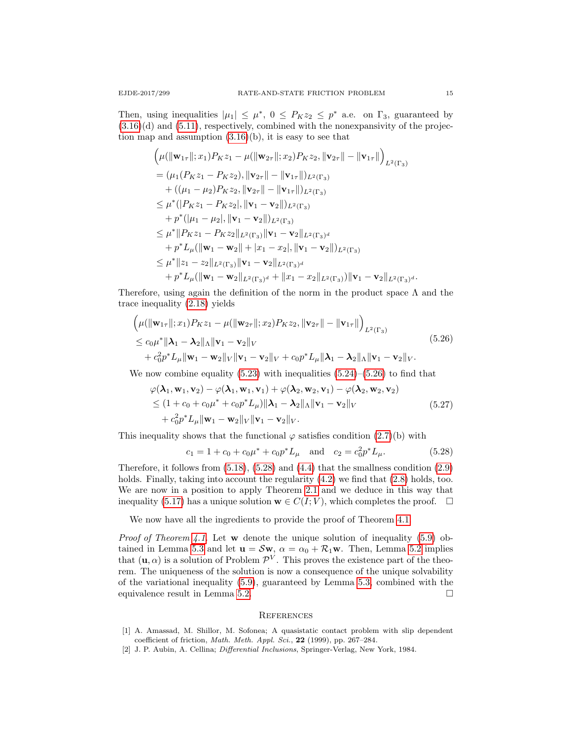Then, using inequalities  $|\mu_1| \leq \mu^*$ ,  $0 \leq P_K z_2 \leq p^*$  a.e. on  $\Gamma_3$ , guaranteed by  $(3.16)(d)$  $(3.16)(d)$  and  $(5.11)$ , respectively, combined with the nonexpansivity of the projection map and assumption  $(3.16)(b)$ , it is easy to see that

$$
\left(\mu(\|\mathbf{w}_{1\tau}\|;x_1)P_Kz_1 - \mu(\|\mathbf{w}_{2\tau}\|;x_2)P_Kz_2, \|\mathbf{v}_{2\tau}\| - \|\mathbf{v}_{1\tau}\| \right)_{L^2(\Gamma_3)} \n= (\mu_1(P_Kz_1 - P_Kz_2), \|\mathbf{v}_{2\tau}\| - \|\mathbf{v}_{1\tau}\|)_{L^2(\Gamma_3)} \n+ ((\mu_1 - \mu_2)P_Kz_2, \|\mathbf{v}_{2\tau}\| - \|\mathbf{v}_{1\tau}\|)_{L^2(\Gamma_3)} \n\leq \mu^* (|P_Kz_1 - P_Kz_2|, \|\mathbf{v}_1 - \mathbf{v}_2\|)_{L^2(\Gamma_3)} \n+ p^* (|\mu_1 - \mu_2|, \|\mathbf{v}_1 - \mathbf{v}_2\|)_{L^2(\Gamma_3)} \n\leq \mu^* \|P_Kz_1 - P_Kz_2\|_{L^2(\Gamma_3)} \|\mathbf{v}_1 - \mathbf{v}_2\|_{L^2(\Gamma_3)^d} \n+ p^*L_\mu (\|\mathbf{w}_1 - \mathbf{w}_2\| + |x_1 - x_2|, \|\mathbf{v}_1 - \mathbf{v}_2\|)_{L^2(\Gamma_3)} \n\leq \mu^* \|z_1 - z_2\|_{L^2(\Gamma_3)} \|\mathbf{v}_1 - \mathbf{v}_2\|_{L^2(\Gamma_3)^d} \n+ p^*L_\mu (\|\mathbf{w}_1 - \mathbf{w}_2\|_{L^2(\Gamma_3)^d} + \|x_1 - x_2\|_{L^2(\Gamma_3)}) \|\mathbf{v}_1 - \mathbf{v}_2\|_{L^2(\Gamma_3)^d}.
$$

Therefore, using again the definition of the norm in the product space  $\Lambda$  and the trace inequality [\(2.18\)](#page-6-1) yields

<span id="page-14-2"></span>
$$
\left(\mu(\|\mathbf{w}_{1\tau}\|;x_1)P_Kz_1 - \mu(\|\mathbf{w}_{2\tau}\|;x_2)P_Kz_2, \|\mathbf{v}_{2\tau}\| - \|\mathbf{v}_{1\tau}\|\right)_{L^2(\Gamma_3)}\leq c_0\mu^* \|\mathbf{\lambda}_1 - \mathbf{\lambda}_2\|_{\Lambda} \|\mathbf{v}_1 - \mathbf{v}_2\|_{V} + c_0^2 p^* L_{\mu} \|\mathbf{w}_1 - \mathbf{w}_2\|_{V} \|\mathbf{v}_1 - \mathbf{v}_2\|_{V} + c_0 p^* L_{\mu} \|\mathbf{\lambda}_1 - \mathbf{\lambda}_2\|_{\Lambda} \|\mathbf{v}_1 - \mathbf{v}_2\|_{V}.
$$
\n(5.26)

We now combine equality  $(5.23)$  with inequalities  $(5.24)$ – $(5.26)$  to find that

$$
\varphi(\lambda_1, \mathbf{w}_1, \mathbf{v}_2) - \varphi(\lambda_1, \mathbf{w}_1, \mathbf{v}_1) + \varphi(\lambda_2, \mathbf{w}_2, \mathbf{v}_1) - \varphi(\lambda_2, \mathbf{w}_2, \mathbf{v}_2)
$$
  
\n
$$
\leq (1 + c_0 + c_0 \mu^* + c_0 p^* L_\mu) \|\lambda_1 - \lambda_2\|_{\Lambda} \|\mathbf{v}_1 - \mathbf{v}_2\|_V
$$
  
\n
$$
+ c_0^2 p^* L_\mu \|\mathbf{w}_1 - \mathbf{w}_2\|_V \|\mathbf{v}_1 - \mathbf{v}_2\|_V.
$$
\n(5.27)

This inequality shows that the functional  $\varphi$  satisfies condition [\(2.7\)](#page-4-3)(b) with

<span id="page-14-3"></span>
$$
c_1 = 1 + c_0 + c_0 \mu^* + c_0 p^* L_\mu
$$
 and  $c_2 = c_0^2 p^* L_\mu.$  (5.28)

Therefore, it follows from  $(5.18)$ ,  $(5.28)$  and  $(4.4)$  that the smallness condition  $(2.9)$ holds. Finally, taking into account the regularity  $(4.2)$  we find that  $(2.8)$  holds, too. We are now in a position to apply Theorem [2.1](#page-4-4) and we deduce in this way that inequality [\(5.17\)](#page-12-4) has a unique solution  $\mathbf{w} \in C(I; V)$ , which completes the proof.  $\Box$ 

We now have all the ingredients to provide the proof of Theorem [4.1.](#page-10-0)

*Proof of Theorem [4.1.](#page-10-0)* Let w denote the unique solution of inequality [\(5.9\)](#page-12-0) ob-tained in Lemma [5.3](#page-12-6) and let  $\mathbf{u} = \mathcal{S}\mathbf{w}$ ,  $\alpha = \alpha_0 + \mathcal{R}_1\mathbf{w}$ . Then, Lemma [5.2](#page-11-8) implies that  $(\mathbf{u}, \alpha)$  is a solution of Problem  $\mathcal{P}^V$ . This proves the existence part of the theorem. The uniqueness of the solution is now a consequence of the unique solvability of the variational inequality [\(5.9\)](#page-12-0), guaranteed by Lemma [5.3,](#page-12-6) combined with the equivalence result in Lemma [5.2.](#page-11-8)

### **REFERENCES**

- <span id="page-14-0"></span>[1] A. Amassad, M. Shillor, M. Sofonea; A quasistatic contact problem with slip dependent coefficient of friction, Math. Meth. Appl. Sci., 22 (1999), pp. 267–284.
- <span id="page-14-1"></span>[2] J. P. Aubin, A. Cellina; Differential Inclusions, Springer-Verlag, New York, 1984.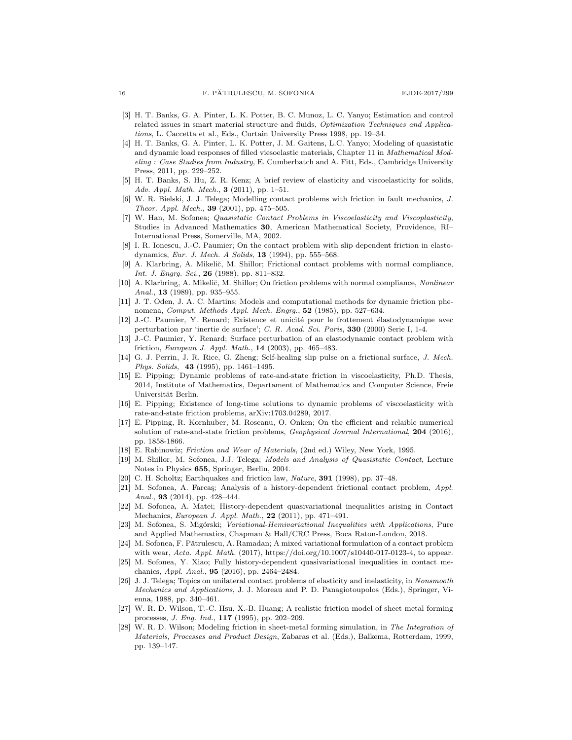- <span id="page-15-20"></span>[3] H. T. Banks, G. A. Pinter, L. K. Potter, B. C. Munoz, L. C. Yanyo; Estimation and control related issues in smart material structure and fluids, Optimization Techniques and Applications, L. Caccetta et al., Eds., Curtain University Press 1998, pp. 19–34.
- <span id="page-15-21"></span>[4] H. T. Banks, G. A. Pinter, L. K. Potter, J. M. Gaitens, L.C. Yanyo; Modeling of quasistatic and dynamic load responses of filled viesoelastic materials, Chapter 11 in Mathematical Modeling : Case Studies from Industry, E. Cumberbatch and A. Fitt, Eds., Cambridge University Press, 2011, pp. 229–252.
- <span id="page-15-19"></span>[5] H. T. Banks, S. Hu, Z. R. Kenz; A brief review of elasticity and viscoelasticity for solids, Adv. Appl. Math. Mech., 3 (2011), pp. 1–51.
- <span id="page-15-9"></span>[6] W. R. Bielski, J. J. Telega; Modelling contact problems with friction in fault mechanics, J. Theor. Appl. Mech., 39 (2001), pp. 475–505.
- <span id="page-15-17"></span>[7] W. Han, M. Sofonea; Quasistatic Contact Problems in Viscoelasticity and Viscoplasticity, Studies in Advanced Mathematics 30, American Mathematical Society, Providence, RI– International Press, Somerville, MA, 2002.
- <span id="page-15-10"></span>[8] I. R. Ionescu, J.-C. Paumier; On the contact problem with slip dependent friction in elastodynamics, Eur. J. Mech. A Solids, 13 (1994), pp. 555–568.
- <span id="page-15-24"></span>[9] A. Klarbring, A. Mikelič, M. Shillor; Frictional contact problems with normal compliance, Int. J. Engrg. Sci., 26 (1988), pp. 811-832.
- <span id="page-15-25"></span>[10] A. Klarbring, A. Mikelič, M. Shillor; On friction problems with normal compliance, Nonlinear Anal., 13 (1989), pp. 935-955.
- <span id="page-15-23"></span>[11] J. T. Oden, J. A. C. Martins; Models and computational methods for dynamic friction phenomena, Comput. Methods Appl. Mech. Engrq., 52 (1985), pp. 527–634.
- <span id="page-15-11"></span>[12] J.-C. Paumier, Y. Renard; Existence et unicité pour le frottement élastodynamique avec perturbation par 'inertie de surface'; C. R. Acad. Sci. Paris, 330 (2000) Serie I, 1-4.
- <span id="page-15-12"></span>[13] J.-C. Paumier, Y. Renard; Surface perturbation of an elastodynamic contact problem with friction, European J. Appl. Math., 14 (2003), pp. 465–483.
- <span id="page-15-8"></span>[14] G. J. Perrin, J. R. Rice, G. Zheng; Self-healing slip pulse on a frictional surface, J. Mech. Phys. Solids, 43 (1995), pp. 1461–1495.
- <span id="page-15-4"></span>[15] E. Pipping; Dynamic problems of rate-and-state friction in viscoelasticity, Ph.D. Thesis, 2014, Institute of Mathematics, Departament of Mathematics and Computer Science, Freie Universität Berlin.
- <span id="page-15-5"></span>[16] E. Pipping; Existence of long-time solutions to dynamic problems of viscoelasticity with rate-and-state friction problems, arXiv:1703.04289, 2017.
- <span id="page-15-6"></span>[17] E. Pipping, R. Kornhuber, M. Roseanu, O. Onken; On the efficient and relaible numerical solution of rate-and-state friction problems, Geophysical Journal International, 204 (2016), pp. 1858-1866.
- <span id="page-15-0"></span>[18] E. Rabinowiz; Friction and Wear of Materials, (2nd ed.) Wiley, New York, 1995.
- <span id="page-15-18"></span>[19] M. Shillor, M. Sofonea, J.J. Telega; Models and Analysis of Quasistatic Contact, Lecture Notes in Physics 655, Springer, Berlin, 2004.
- <span id="page-15-7"></span>C. H. Scholtz; Earthquakes and friction law, Nature, 391 (1998), pp. 37-48.
- <span id="page-15-22"></span>[21] M. Sofonea, A. Farcas; Analysis of a history-dependent frictional contact problem, Appl. Anal., 93 (2014), pp. 428-444.
- <span id="page-15-13"></span>[22] M. Sofonea, A. Matei; History-dependent quasivariational inequalities arising in Contact Mechanics, European J. Appl. Math., 22 (2011), pp. 471–491.
- <span id="page-15-14"></span>[23] M. Sofonea, S. Migórski; Variational-Hemivariational Inequalities with Applications, Pure and Applied Mathematics, Chapman & Hall/CRC Press, Boca Raton-London, 2018.
- <span id="page-15-16"></span>[24] M. Sofonea, F. Pătrulescu, A. Ramadan; A mixed variational formulation of a contact problem with wear, Acta. Appl. Math. (2017), https://doi.org/10.1007/s10440-017-0123-4, to appear.
- <span id="page-15-15"></span>[25] M. Sofonea, Y. Xiao; Fully history-dependent quasivariational inequalities in contact mechanics, Appl. Anal., 95 (2016), pp. 2464–2484.
- <span id="page-15-1"></span>[26] J. J. Telega; Topics on unilateral contact problems of elasticity and inelasticity, in Nonsmooth Mechanics and Applications, J. J. Moreau and P. D. Panagiotoupolos (Eds.), Springer, Vienna, 1988, pp. 340–461.
- <span id="page-15-2"></span>[27] W. R. D. Wilson, T.-C. Hsu, X.-B. Huang; A realistic friction model of sheet metal forming processes, J. Eng. Ind., 117 (1995), pp. 202–209.
- <span id="page-15-3"></span>[28] W. R. D. Wilson; Modeling friction in sheet-metal forming simulation, in The Integration of Materials, Processes and Product Design, Zabaras et al. (Eds.), Balkema, Rotterdam, 1999, pp. 139–147.